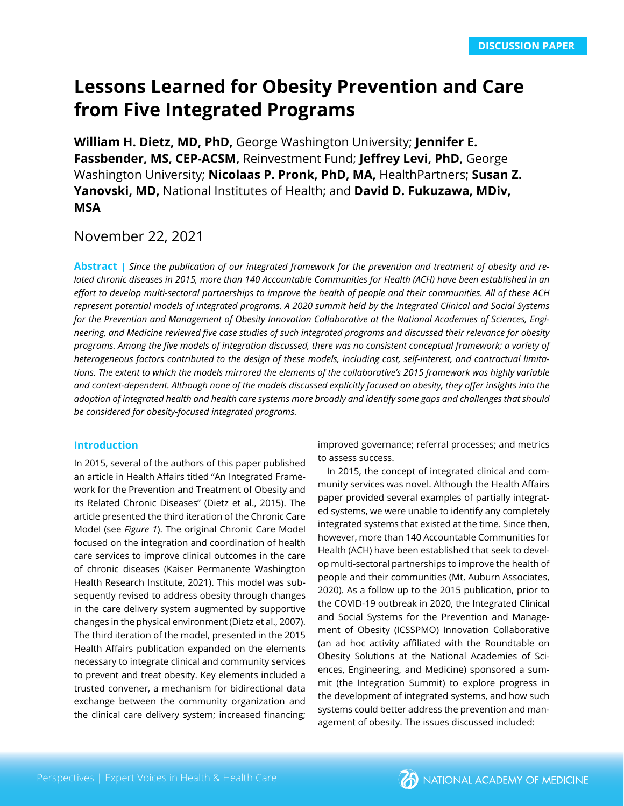# **Lessons Learned for Obesity Prevention and Care from Five Integrated Programs**

**William H. Dietz, MD, PhD,** George Washington University; **Jennifer E. Fassbender, MS, CEP-ACSM,** Reinvestment Fund; **Jeffrey Levi, PhD,** George Washington University; **Nicolaas P. Pronk, PhD, MA,** HealthPartners; **Susan Z. Yanovski, MD,** National Institutes of Health; and **David D. Fukuzawa, MDiv, MSA**

# November 22, 2021

**Abstract |** *Since the publication of our integrated framework for the prevention and treatment of obesity and related chronic diseases in 2015, more than 140 Accountable Communities for Health (ACH) have been established in an effort to develop multi-sectoral partnerships to improve the health of people and their communities. All of these ACH represent potential models of integrated programs. A 2020 summit held by the Integrated Clinical and Social Systems for the Prevention and Management of Obesity Innovation Collaborative at the National Academies of Sciences, Engineering, and Medicine reviewed five case studies of such integrated programs and discussed their relevance for obesity programs. Among the five models of integration discussed, there was no consistent conceptual framework; a variety of heterogeneous factors contributed to the design of these models, including cost, self-interest, and contractual limitations. The extent to which the models mirrored the elements of the collaborative's 2015 framework was highly variable and context-dependent. Although none of the models discussed explicitly focused on obesity, they offer insights into the adoption of integrated health and health care systems more broadly and identify some gaps and challenges that should be considered for obesity-focused integrated programs.* 

# **Introduction**

In 2015, several of the authors of this paper published an article in Health Affairs titled "An Integrated Framework for the Prevention and Treatment of Obesity and its Related Chronic Diseases" (Dietz et al., 2015). The article presented the third iteration of the Chronic Care Model (see *Figure 1*). The original Chronic Care Model focused on the integration and coordination of health care services to improve clinical outcomes in the care of chronic diseases (Kaiser Permanente Washington Health Research Institute, 2021). This model was subsequently revised to address obesity through changes in the care delivery system augmented by supportive changes in the physical environment (Dietz et al., 2007). The third iteration of the model, presented in the 2015 Health Affairs publication expanded on the elements necessary to integrate clinical and community services to prevent and treat obesity. Key elements included a trusted convener, a mechanism for bidirectional data exchange between the community organization and the clinical care delivery system; increased financing;

improved governance; referral processes; and metrics to assess success.

In 2015, the concept of integrated clinical and community services was novel. Although the Health Affairs paper provided several examples of partially integrated systems, we were unable to identify any completely integrated systems that existed at the time. Since then, however, more than 140 Accountable Communities for Health (ACH) have been established that seek to develop multi-sectoral partnerships to improve the health of people and their communities (Mt. Auburn Associates, 2020). As a follow up to the 2015 publication, prior to the COVID-19 outbreak in 2020, the Integrated Clinical and Social Systems for the Prevention and Management of Obesity (ICSSPMO) Innovation Collaborative (an ad hoc activity affiliated with the Roundtable on Obesity Solutions at the National Academies of Sciences, Engineering, and Medicine) sponsored a summit (the Integration Summit) to explore progress in the development of integrated systems, and how such systems could better address the prevention and management of obesity. The issues discussed included:

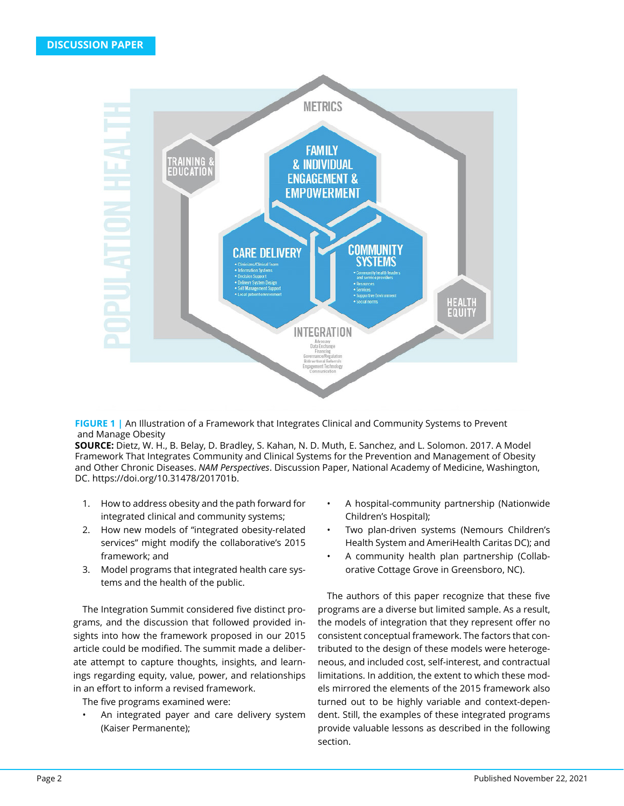

**FIGURE 1 |** An Illustration of a Framework that Integrates Clinical and Community Systems to Prevent and Manage Obesity

**SOURCE:** Dietz, W. H., B. Belay, D. Bradley, S. Kahan, N. D. Muth, E. Sanchez, and L. Solomon. 2017. A Model Framework That Integrates Community and Clinical Systems for the Prevention and Management of Obesity and Other Chronic Diseases. *NAM Perspectives*. Discussion Paper, National Academy of Medicine, Washington, DC. https://doi.org/10.31478/201701b.

- 1. How to address obesity and the path forward for integrated clinical and community systems;
- 2. How new models of "integrated obesity-related services" might modify the collaborative's 2015 framework; and
- 3. Model programs that integrated health care systems and the health of the public.

The Integration Summit considered five distinct programs, and the discussion that followed provided insights into how the framework proposed in our 2015 article could be modified. The summit made a deliberate attempt to capture thoughts, insights, and learnings regarding equity, value, power, and relationships in an effort to inform a revised framework.

The five programs examined were:

An integrated payer and care delivery system (Kaiser Permanente);

- A hospital-community partnership (Nationwide Children's Hospital);
- Two plan-driven systems (Nemours Children's Health System and AmeriHealth Caritas DC); and
- A community health plan partnership (Collaborative Cottage Grove in Greensboro, NC).

The authors of this paper recognize that these five programs are a diverse but limited sample. As a result, the models of integration that they represent offer no consistent conceptual framework. The factors that contributed to the design of these models were heterogeneous, and included cost, self-interest, and contractual limitations. In addition, the extent to which these models mirrored the elements of the 2015 framework also turned out to be highly variable and context-dependent. Still, the examples of these integrated programs provide valuable lessons as described in the following section.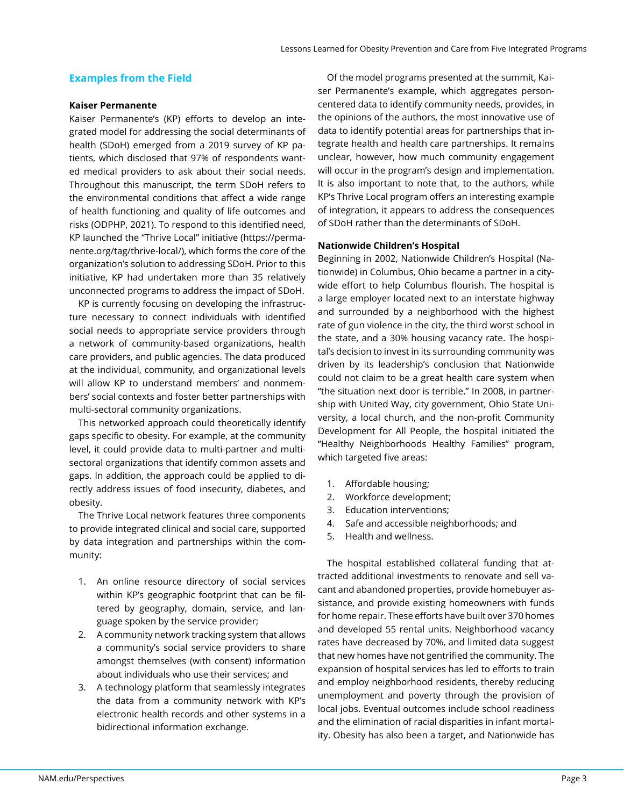# **Examples from the Field**

## **Kaiser Permanente**

Kaiser Permanente's (KP) efforts to develop an integrated model for addressing the social determinants of health (SDoH) emerged from a 2019 survey of KP patients, which disclosed that 97% of respondents wanted medical providers to ask about their social needs. Throughout this manuscript, the term SDoH refers to the environmental conditions that affect a wide range of health functioning and quality of life outcomes and risks (ODPHP, 2021). To respond to this identified need, KP launched the "Thrive Local" initiative (https://permanente.org/tag/thrive-local/), which forms the core of the organization's solution to addressing SDoH. Prior to this initiative, KP had undertaken more than 35 relatively unconnected programs to address the impact of SDoH.

KP is currently focusing on developing the infrastructure necessary to connect individuals with identified social needs to appropriate service providers through a network of community-based organizations, health care providers, and public agencies. The data produced at the individual, community, and organizational levels will allow KP to understand members' and nonmembers' social contexts and foster better partnerships with multi-sectoral community organizations.

This networked approach could theoretically identify gaps specific to obesity. For example, at the community level, it could provide data to multi-partner and multisectoral organizations that identify common assets and gaps. In addition, the approach could be applied to directly address issues of food insecurity, diabetes, and obesity.

The Thrive Local network features three components to provide integrated clinical and social care, supported by data integration and partnerships within the community:

- 1. An online resource directory of social services within KP's geographic footprint that can be filtered by geography, domain, service, and language spoken by the service provider;
- 2. A community network tracking system that allows a community's social service providers to share amongst themselves (with consent) information about individuals who use their services; and
- 3. A technology platform that seamlessly integrates the data from a community network with KP's electronic health records and other systems in a bidirectional information exchange.

Of the model programs presented at the summit, Kaiser Permanente's example, which aggregates personcentered data to identify community needs, provides, in the opinions of the authors, the most innovative use of data to identify potential areas for partnerships that integrate health and health care partnerships. It remains unclear, however, how much community engagement will occur in the program's design and implementation. It is also important to note that, to the authors, while KP's Thrive Local program offers an interesting example of integration, it appears to address the consequences of SDoH rather than the determinants of SDoH.

# **Nationwide Children's Hospital**

Beginning in 2002, Nationwide Children's Hospital (Nationwide) in Columbus, Ohio became a partner in a citywide effort to help Columbus flourish. The hospital is a large employer located next to an interstate highway and surrounded by a neighborhood with the highest rate of gun violence in the city, the third worst school in the state, and a 30% housing vacancy rate. The hospital's decision to invest in its surrounding community was driven by its leadership's conclusion that Nationwide could not claim to be a great health care system when "the situation next door is terrible." In 2008, in partnership with United Way, city government, Ohio State University, a local church, and the non-profit Community Development for All People, the hospital initiated the "Healthy Neighborhoods Healthy Families" program, which targeted five areas:

- 1. Affordable housing;
- 2. Workforce development;
- 3. Education interventions;
- 4. Safe and accessible neighborhoods; and
- 5. Health and wellness.

The hospital established collateral funding that attracted additional investments to renovate and sell vacant and abandoned properties, provide homebuyer assistance, and provide existing homeowners with funds for home repair. These efforts have built over 370 homes and developed 55 rental units. Neighborhood vacancy rates have decreased by 70%, and limited data suggest that new homes have not gentrified the community. The expansion of hospital services has led to efforts to train and employ neighborhood residents, thereby reducing unemployment and poverty through the provision of local jobs. Eventual outcomes include school readiness and the elimination of racial disparities in infant mortality. Obesity has also been a target, and Nationwide has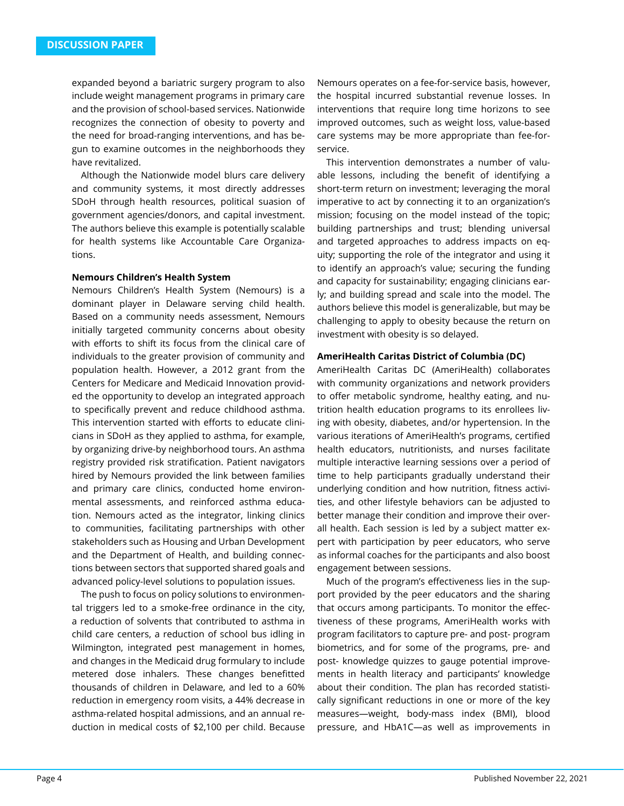expanded beyond a bariatric surgery program to also include weight management programs in primary care and the provision of school-based services. Nationwide recognizes the connection of obesity to poverty and the need for broad-ranging interventions, and has begun to examine outcomes in the neighborhoods they have revitalized.

Although the Nationwide model blurs care delivery and community systems, it most directly addresses SDoH through health resources, political suasion of government agencies/donors, and capital investment. The authors believe this example is potentially scalable for health systems like Accountable Care Organizations.

#### **Nemours Children's Health System**

Nemours Children's Health System (Nemours) is a dominant player in Delaware serving child health. Based on a community needs assessment, Nemours initially targeted community concerns about obesity with efforts to shift its focus from the clinical care of individuals to the greater provision of community and population health. However, a 2012 grant from the Centers for Medicare and Medicaid Innovation provided the opportunity to develop an integrated approach to specifically prevent and reduce childhood asthma. This intervention started with efforts to educate clinicians in SDoH as they applied to asthma, for example, by organizing drive-by neighborhood tours. An asthma registry provided risk stratification. Patient navigators hired by Nemours provided the link between families and primary care clinics, conducted home environmental assessments, and reinforced asthma education. Nemours acted as the integrator, linking clinics to communities, facilitating partnerships with other stakeholders such as Housing and Urban Development and the Department of Health, and building connections between sectors that supported shared goals and advanced policy-level solutions to population issues.

The push to focus on policy solutions to environmental triggers led to a smoke-free ordinance in the city, a reduction of solvents that contributed to asthma in child care centers, a reduction of school bus idling in Wilmington, integrated pest management in homes, and changes in the Medicaid drug formulary to include metered dose inhalers. These changes benefitted thousands of children in Delaware, and led to a 60% reduction in emergency room visits, a 44% decrease in asthma-related hospital admissions, and an annual reduction in medical costs of \$2,100 per child. Because

Nemours operates on a fee-for-service basis, however, the hospital incurred substantial revenue losses. In interventions that require long time horizons to see improved outcomes, such as weight loss, value-based care systems may be more appropriate than fee-forservice.

This intervention demonstrates a number of valuable lessons, including the benefit of identifying a short-term return on investment; leveraging the moral imperative to act by connecting it to an organization's mission; focusing on the model instead of the topic; building partnerships and trust; blending universal and targeted approaches to address impacts on equity; supporting the role of the integrator and using it to identify an approach's value; securing the funding and capacity for sustainability; engaging clinicians early; and building spread and scale into the model. The authors believe this model is generalizable, but may be challenging to apply to obesity because the return on investment with obesity is so delayed.

#### **AmeriHealth Caritas District of Columbia (DC)**

AmeriHealth Caritas DC (AmeriHealth) collaborates with community organizations and network providers to offer metabolic syndrome, healthy eating, and nutrition health education programs to its enrollees living with obesity, diabetes, and/or hypertension. In the various iterations of AmeriHealth's programs, certified health educators, nutritionists, and nurses facilitate multiple interactive learning sessions over a period of time to help participants gradually understand their underlying condition and how nutrition, fitness activities, and other lifestyle behaviors can be adjusted to better manage their condition and improve their overall health. Each session is led by a subject matter expert with participation by peer educators, who serve as informal coaches for the participants and also boost engagement between sessions.

Much of the program's effectiveness lies in the support provided by the peer educators and the sharing that occurs among participants. To monitor the effectiveness of these programs, AmeriHealth works with program facilitators to capture pre- and post- program biometrics, and for some of the programs, pre- and post- knowledge quizzes to gauge potential improvements in health literacy and participants' knowledge about their condition. The plan has recorded statistically significant reductions in one or more of the key measures—weight, body-mass index (BMI), blood pressure, and HbA1C—as well as improvements in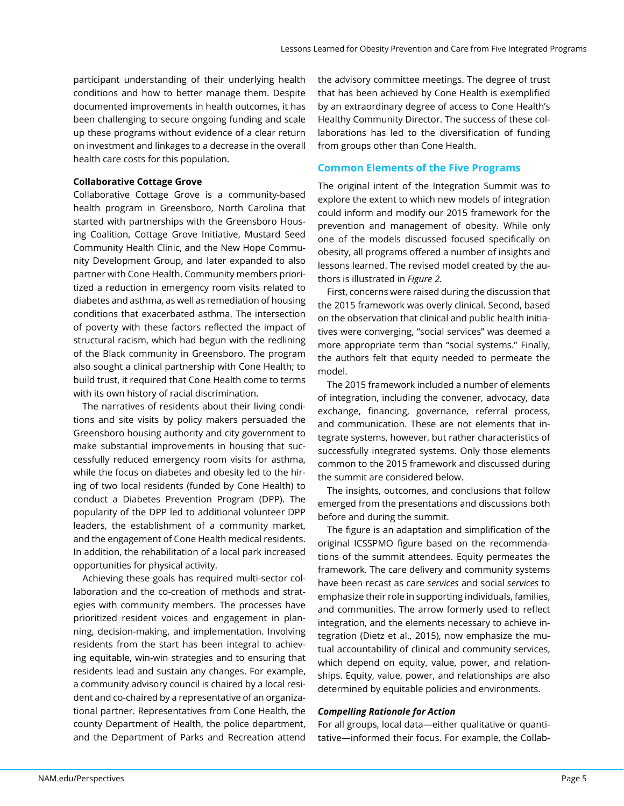participant understanding of their underlying health conditions and how to better manage them. Despite documented improvements in health outcomes, it has been challenging to secure ongoing funding and scale up these programs without evidence of a clear return on investment and linkages to a decrease in the overall health care costs for this population.

### **Collaborative Cottage Grove**

Collaborative Cottage Grove is a community-based health program in Greensboro, North Carolina that started with partnerships with the Greensboro Housing Coalition, Cottage Grove Initiative, Mustard Seed Community Health Clinic, and the New Hope Community Development Group, and later expanded to also partner with Cone Health. Community members prioritized a reduction in emergency room visits related to diabetes and asthma, as well as remediation of housing conditions that exacerbated asthma. The intersection of poverty with these factors reflected the impact of structural racism, which had begun with the redlining of the Black community in Greensboro. The program also sought a clinical partnership with Cone Health; to build trust, it required that Cone Health come to terms with its own history of racial discrimination.

The narratives of residents about their living conditions and site visits by policy makers persuaded the Greensboro housing authority and city government to make substantial improvements in housing that successfully reduced emergency room visits for asthma, while the focus on diabetes and obesity led to the hiring of two local residents (funded by Cone Health) to conduct a Diabetes Prevention Program (DPP). The popularity of the DPP led to additional volunteer DPP leaders, the establishment of a community market, and the engagement of Cone Health medical residents. In addition, the rehabilitation of a local park increased opportunities for physical activity.

Achieving these goals has required multi-sector collaboration and the co-creation of methods and strategies with community members. The processes have prioritized resident voices and engagement in planning, decision-making, and implementation. Involving residents from the start has been integral to achieving equitable, win-win strategies and to ensuring that residents lead and sustain any changes. For example, a community advisory council is chaired by a local resident and co-chaired by a representative of an organizational partner. Representatives from Cone Health, the county Department of Health, the police department, and the Department of Parks and Recreation attend

the advisory committee meetings. The degree of trust that has been achieved by Cone Health is exemplified by an extraordinary degree of access to Cone Health's Healthy Community Director. The success of these collaborations has led to the diversification of funding from groups other than Cone Health.

# **Common Elements of the Five Programs**

The original intent of the Integration Summit was to explore the extent to which new models of integration could inform and modify our 2015 framework for the prevention and management of obesity. While only one of the models discussed focused specifically on obesity, all programs offered a number of insights and lessons learned. The revised model created by the authors is illustrated in *Figure 2.*

First, concerns were raised during the discussion that the 2015 framework was overly clinical. Second, based on the observation that clinical and public health initiatives were converging, "social services" was deemed a more appropriate term than "social systems." Finally, the authors felt that equity needed to permeate the model.

The 2015 framework included a number of elements of integration, including the convener, advocacy, data exchange, financing, governance, referral process, and communication. These are not elements that integrate systems, however, but rather characteristics of successfully integrated systems. Only those elements common to the 2015 framework and discussed during the summit are considered below.

The insights, outcomes, and conclusions that follow emerged from the presentations and discussions both before and during the summit.

The figure is an adaptation and simplification of the original ICSSPMO figure based on the recommendations of the summit attendees. Equity permeates the framework. The care delivery and community systems have been recast as care *services* and social *services* to emphasize their role in supporting individuals, families, and communities. The arrow formerly used to reflect integration, and the elements necessary to achieve integration (Dietz et al., 2015), now emphasize the mutual accountability of clinical and community services, which depend on equity, value, power, and relationships. Equity, value, power, and relationships are also determined by equitable policies and environments.

# *Compelling Rationale for Action*

For all groups, local data—either qualitative or quantitative—informed their focus. For example, the Collab-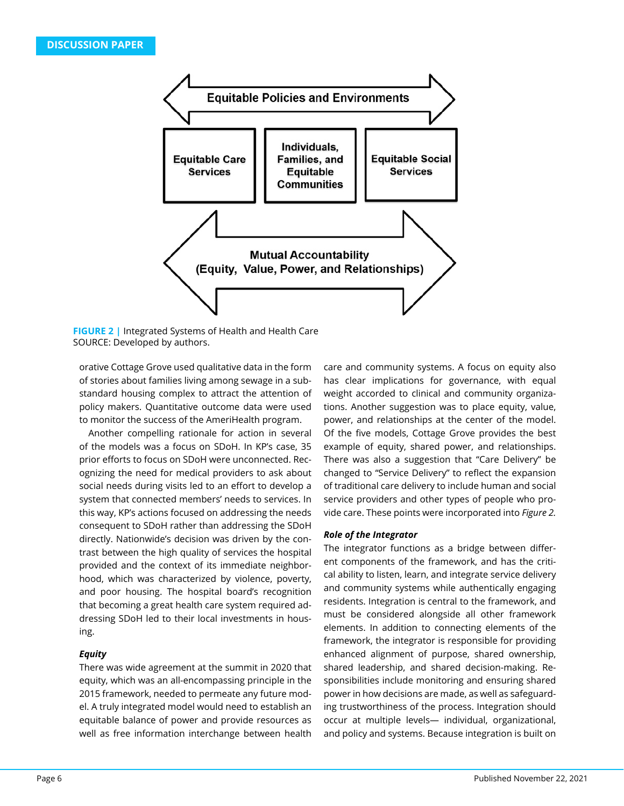

**FIGURE 2 |** Integrated Systems of Health and Health Care SOURCE: Developed by authors.

orative Cottage Grove used qualitative data in the form of stories about families living among sewage in a substandard housing complex to attract the attention of policy makers. Quantitative outcome data were used to monitor the success of the AmeriHealth program.

Another compelling rationale for action in several of the models was a focus on SDoH. In KP's case, 35 prior efforts to focus on SDoH were unconnected. Recognizing the need for medical providers to ask about social needs during visits led to an effort to develop a system that connected members' needs to services. In this way, KP's actions focused on addressing the needs consequent to SDoH rather than addressing the SDoH directly. Nationwide's decision was driven by the contrast between the high quality of services the hospital provided and the context of its immediate neighborhood, which was characterized by violence, poverty, and poor housing. The hospital board's recognition that becoming a great health care system required addressing SDoH led to their local investments in housing.

# *Equity*

There was wide agreement at the summit in 2020 that equity, which was an all-encompassing principle in the 2015 framework, needed to permeate any future model. A truly integrated model would need to establish an equitable balance of power and provide resources as well as free information interchange between health

care and community systems. A focus on equity also has clear implications for governance, with equal weight accorded to clinical and community organizations. Another suggestion was to place equity, value, power, and relationships at the center of the model. Of the five models, Cottage Grove provides the best example of equity, shared power, and relationships. There was also a suggestion that "Care Delivery" be changed to "Service Delivery" to reflect the expansion of traditional care delivery to include human and social service providers and other types of people who provide care. These points were incorporated into *Figure 2.* 

# *Role of the Integrator*

The integrator functions as a bridge between different components of the framework, and has the critical ability to listen, learn, and integrate service delivery and community systems while authentically engaging residents. Integration is central to the framework, and must be considered alongside all other framework elements. In addition to connecting elements of the framework, the integrator is responsible for providing enhanced alignment of purpose, shared ownership, shared leadership, and shared decision-making. Responsibilities include monitoring and ensuring shared power in how decisions are made, as well as safeguarding trustworthiness of the process. Integration should occur at multiple levels— individual, organizational, and policy and systems. Because integration is built on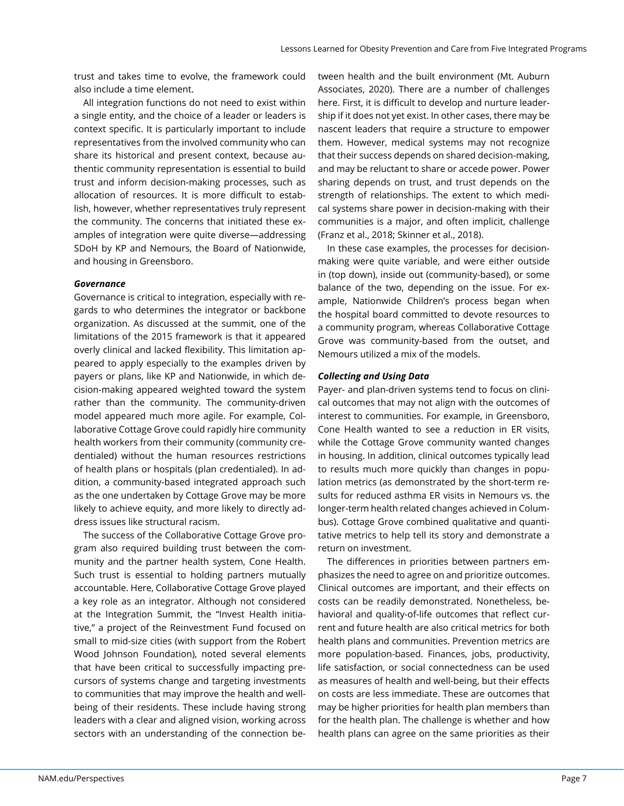trust and takes time to evolve, the framework could also include a time element.

All integration functions do not need to exist within a single entity, and the choice of a leader or leaders is context specific. It is particularly important to include representatives from the involved community who can share its historical and present context, because authentic community representation is essential to build trust and inform decision-making processes, such as allocation of resources. It is more difficult to establish, however, whether representatives truly represent the community. The concerns that initiated these examples of integration were quite diverse—addressing SDoH by KP and Nemours, the Board of Nationwide, and housing in Greensboro.

### *Governance*

Governance is critical to integration, especially with regards to who determines the integrator or backbone organization. As discussed at the summit, one of the limitations of the 2015 framework is that it appeared overly clinical and lacked flexibility. This limitation appeared to apply especially to the examples driven by payers or plans, like KP and Nationwide, in which decision-making appeared weighted toward the system rather than the community. The community-driven model appeared much more agile. For example, Collaborative Cottage Grove could rapidly hire community health workers from their community (community credentialed) without the human resources restrictions of health plans or hospitals (plan credentialed). In addition, a community-based integrated approach such as the one undertaken by Cottage Grove may be more likely to achieve equity, and more likely to directly address issues like structural racism.

The success of the Collaborative Cottage Grove program also required building trust between the community and the partner health system, Cone Health. Such trust is essential to holding partners mutually accountable. Here, Collaborative Cottage Grove played a key role as an integrator. Although not considered at the Integration Summit, the "Invest Health initiative," a project of the Reinvestment Fund focused on small to mid-size cities (with support from the Robert Wood Johnson Foundation), noted several elements that have been critical to successfully impacting precursors of systems change and targeting investments to communities that may improve the health and wellbeing of their residents. These include having strong leaders with a clear and aligned vision, working across sectors with an understanding of the connection between health and the built environment (Mt. Auburn Associates, 2020). There are a number of challenges here. First, it is difficult to develop and nurture leadership if it does not yet exist. In other cases, there may be nascent leaders that require a structure to empower them. However, medical systems may not recognize that their success depends on shared decision-making, and may be reluctant to share or accede power. Power sharing depends on trust, and trust depends on the strength of relationships. The extent to which medical systems share power in decision-making with their communities is a major, and often implicit, challenge (Franz et al., 2018; Skinner et al., 2018).

In these case examples, the processes for decisionmaking were quite variable, and were either outside in (top down), inside out (community-based), or some balance of the two, depending on the issue. For example, Nationwide Children's process began when the hospital board committed to devote resources to a community program, whereas Collaborative Cottage Grove was community-based from the outset, and Nemours utilized a mix of the models.

# *Collecting and Using Data*

Payer- and plan-driven systems tend to focus on clinical outcomes that may not align with the outcomes of interest to communities. For example, in Greensboro, Cone Health wanted to see a reduction in ER visits, while the Cottage Grove community wanted changes in housing. In addition, clinical outcomes typically lead to results much more quickly than changes in population metrics (as demonstrated by the short-term results for reduced asthma ER visits in Nemours vs. the longer-term health related changes achieved in Columbus). Cottage Grove combined qualitative and quantitative metrics to help tell its story and demonstrate a return on investment.

The differences in priorities between partners emphasizes the need to agree on and prioritize outcomes. Clinical outcomes are important, and their effects on costs can be readily demonstrated. Nonetheless, behavioral and quality-of-life outcomes that reflect current and future health are also critical metrics for both health plans and communities. Prevention metrics are more population-based. Finances, jobs, productivity, life satisfaction, or social connectedness can be used as measures of health and well-being, but their effects on costs are less immediate. These are outcomes that may be higher priorities for health plan members than for the health plan. The challenge is whether and how health plans can agree on the same priorities as their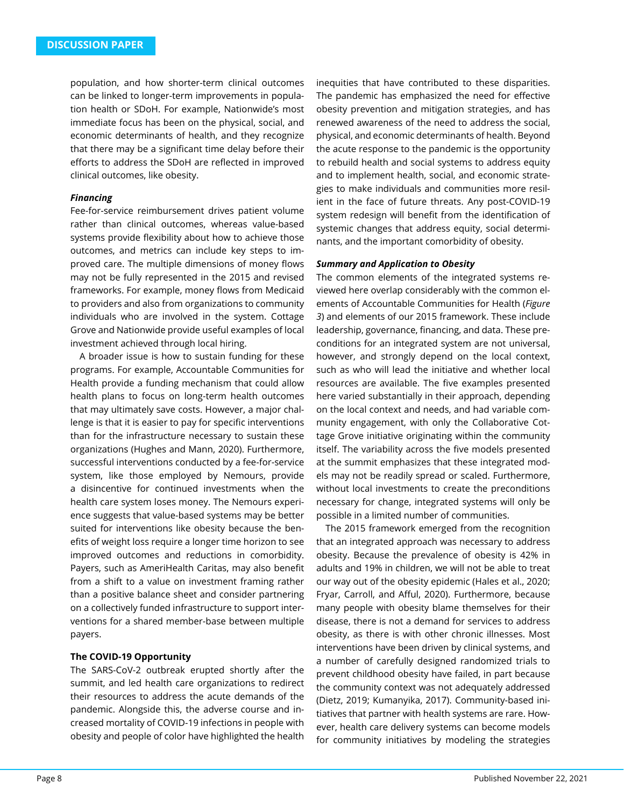population, and how shorter-term clinical outcomes can be linked to longer-term improvements in population health or SDoH. For example, Nationwide's most immediate focus has been on the physical, social, and economic determinants of health, and they recognize that there may be a significant time delay before their efforts to address the SDoH are reflected in improved clinical outcomes, like obesity.

#### *Financing*

Fee-for-service reimbursement drives patient volume rather than clinical outcomes, whereas value-based systems provide flexibility about how to achieve those outcomes, and metrics can include key steps to improved care. The multiple dimensions of money flows may not be fully represented in the 2015 and revised frameworks. For example, money flows from Medicaid to providers and also from organizations to community individuals who are involved in the system. Cottage Grove and Nationwide provide useful examples of local investment achieved through local hiring.

A broader issue is how to sustain funding for these programs. For example, Accountable Communities for Health provide a funding mechanism that could allow health plans to focus on long-term health outcomes that may ultimately save costs. However, a major challenge is that it is easier to pay for specific interventions than for the infrastructure necessary to sustain these organizations (Hughes and Mann, 2020). Furthermore, successful interventions conducted by a fee-for-service system, like those employed by Nemours, provide a disincentive for continued investments when the health care system loses money. The Nemours experience suggests that value-based systems may be better suited for interventions like obesity because the benefits of weight loss require a longer time horizon to see improved outcomes and reductions in comorbidity. Payers, such as AmeriHealth Caritas, may also benefit from a shift to a value on investment framing rather than a positive balance sheet and consider partnering on a collectively funded infrastructure to support interventions for a shared member-base between multiple payers.

#### **The COVID-19 Opportunity**

The SARS-CoV-2 outbreak erupted shortly after the summit, and led health care organizations to redirect their resources to address the acute demands of the pandemic. Alongside this, the adverse course and increased mortality of COVID-19 infections in people with obesity and people of color have highlighted the health inequities that have contributed to these disparities. The pandemic has emphasized the need for effective obesity prevention and mitigation strategies, and has renewed awareness of the need to address the social, physical, and economic determinants of health. Beyond the acute response to the pandemic is the opportunity to rebuild health and social systems to address equity and to implement health, social, and economic strategies to make individuals and communities more resilient in the face of future threats. Any post-COVID-19 system redesign will benefit from the identification of systemic changes that address equity, social determinants, and the important comorbidity of obesity.

### *Summary and Application to Obesity*

The common elements of the integrated systems reviewed here overlap considerably with the common elements of Accountable Communities for Health (*Figure 3*) and elements of our 2015 framework. These include leadership, governance, financing, and data. These preconditions for an integrated system are not universal, however, and strongly depend on the local context, such as who will lead the initiative and whether local resources are available. The five examples presented here varied substantially in their approach, depending on the local context and needs, and had variable community engagement, with only the Collaborative Cottage Grove initiative originating within the community itself. The variability across the five models presented at the summit emphasizes that these integrated models may not be readily spread or scaled. Furthermore, without local investments to create the preconditions necessary for change, integrated systems will only be possible in a limited number of communities.

The 2015 framework emerged from the recognition that an integrated approach was necessary to address obesity. Because the prevalence of obesity is 42% in adults and 19% in children, we will not be able to treat our way out of the obesity epidemic (Hales et al., 2020; Fryar, Carroll, and Afful, 2020). Furthermore, because many people with obesity blame themselves for their disease, there is not a demand for services to address obesity, as there is with other chronic illnesses. Most interventions have been driven by clinical systems, and a number of carefully designed randomized trials to prevent childhood obesity have failed, in part because the community context was not adequately addressed (Dietz, 2019; Kumanyika, 2017). Community-based initiatives that partner with health systems are rare. However, health care delivery systems can become models for community initiatives by modeling the strategies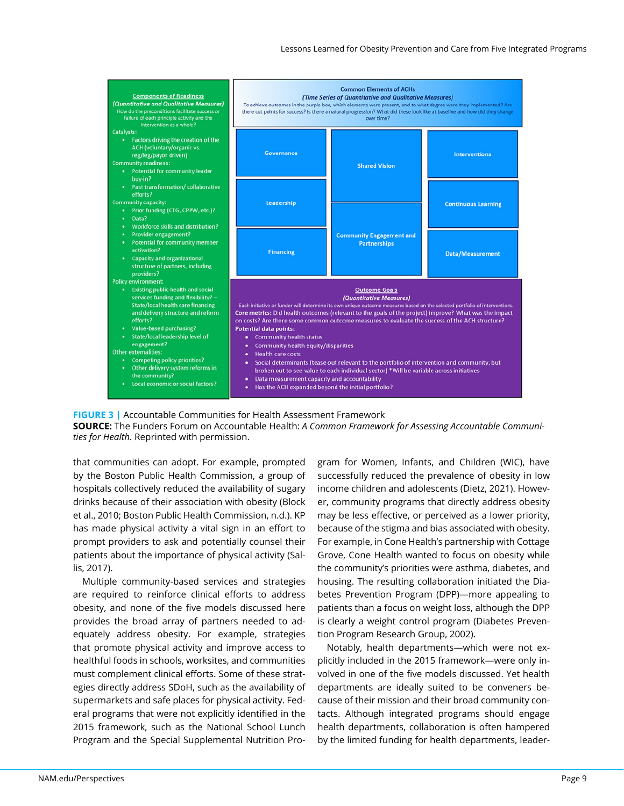

**FIGURE 3 |** Accountable Communities for Health Assessment Framework **SOURCE:** The Funders Forum on Accountable Health: *A Common Framework for Assessing Accountable Communities for Health.* Reprinted with permission.

that communities can adopt. For example, prompted by the Boston Public Health Commission, a group of hospitals collectively reduced the availability of sugary drinks because of their association with obesity (Block et al., 2010; Boston Public Health Commission, n.d.). KP has made physical activity a vital sign in an effort to prompt providers to ask and potentially counsel their patients about the importance of physical activity (Sallis, 2017).

Multiple community-based services and strategies are required to reinforce clinical efforts to address obesity, and none of the five models discussed here provides the broad array of partners needed to adequately address obesity. For example, strategies that promote physical activity and improve access to healthful foods in schools, worksites, and communities must complement clinical efforts. Some of these strategies directly address SDoH, such as the availability of supermarkets and safe places for physical activity. Federal programs that were not explicitly identified in the 2015 framework, such as the National School Lunch Program and the Special Supplemental Nutrition Program for Women, Infants, and Children (WIC), have successfully reduced the prevalence of obesity in low income children and adolescents (Dietz, 2021). However, community programs that directly address obesity may be less effective, or perceived as a lower priority, because of the stigma and bias associated with obesity. For example, in Cone Health's partnership with Cottage Grove, Cone Health wanted to focus on obesity while the community's priorities were asthma, diabetes, and housing. The resulting collaboration initiated the Diabetes Prevention Program (DPP)—more appealing to patients than a focus on weight loss, although the DPP is clearly a weight control program (Diabetes Prevention Program Research Group, 2002).

Notably, health departments—which were not explicitly included in the 2015 framework—were only involved in one of the five models discussed. Yet health departments are ideally suited to be conveners because of their mission and their broad community contacts. Although integrated programs should engage health departments, collaboration is often hampered by the limited funding for health departments, leader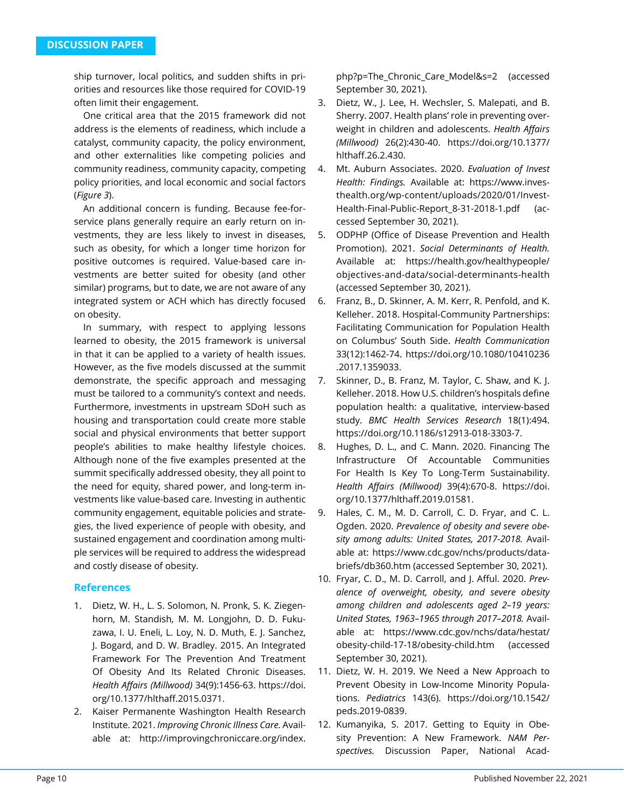ship turnover, local politics, and sudden shifts in priorities and resources like those required for COVID-19 often limit their engagement.

One critical area that the 2015 framework did not address is the elements of readiness, which include a catalyst, community capacity, the policy environment, and other externalities like competing policies and community readiness, community capacity, competing policy priorities, and local economic and social factors (*Figure 3*).

An additional concern is funding. Because fee-forservice plans generally require an early return on investments, they are less likely to invest in diseases, such as obesity, for which a longer time horizon for positive outcomes is required. Value-based care investments are better suited for obesity (and other similar) programs, but to date, we are not aware of any integrated system or ACH which has directly focused on obesity.

In summary, with respect to applying lessons learned to obesity, the 2015 framework is universal in that it can be applied to a variety of health issues. However, as the five models discussed at the summit demonstrate, the specific approach and messaging must be tailored to a community's context and needs. Furthermore, investments in upstream SDoH such as housing and transportation could create more stable social and physical environments that better support people's abilities to make healthy lifestyle choices. Although none of the five examples presented at the summit specifically addressed obesity, they all point to the need for equity, shared power, and long-term investments like value-based care. Investing in authentic community engagement, equitable policies and strategies, the lived experience of people with obesity, and sustained engagement and coordination among multiple services will be required to address the widespread and costly disease of obesity.

# **References**

- 1. Dietz, W. H., L. S. Solomon, N. Pronk, S. K. Ziegenhorn, M. Standish, M. M. Longjohn, D. D. Fukuzawa, I. U. Eneli, L. Loy, N. D. Muth, E. J. Sanchez, J. Bogard, and D. W. Bradley. 2015. An Integrated Framework For The Prevention And Treatment Of Obesity And Its Related Chronic Diseases. *Health Affairs (Millwood)* 34(9):1456-63. https://doi. org/10.1377/hlthaff.2015.0371.
- 2. Kaiser Permanente Washington Health Research Institute. 2021. *Improving Chronic Illness Care.* Available at: http://improvingchroniccare.org/index.

php?p=The\_Chronic\_Care\_Model&s=2 (accessed September 30, 2021).

- 3. Dietz, W., J. Lee, H. Wechsler, S. Malepati, and B. Sherry. 2007. Health plans' role in preventing overweight in children and adolescents. *Health Affairs (Millwood)* 26(2):430-40. https://doi.org/10.1377/ hlthaff.26.2.430.
- 4. Mt. Auburn Associates. 2020. *Evaluation of Invest Health: Findings.* Available at: https://www.investhealth.org/wp-content/uploads/2020/01/Invest-Health-Final-Public-Report\_8-31-2018-1.pdf (accessed September 30, 2021).
- 5. ODPHP (Office of Disease Prevention and Health Promotion). 2021. *Social Determinants of Health.*  Available at: https://health.gov/healthypeople/ objectives-and-data/social-determinants-health (accessed September 30, 2021).
- 6. Franz, B., D. Skinner, A. M. Kerr, R. Penfold, and K. Kelleher. 2018. Hospital-Community Partnerships: Facilitating Communication for Population Health on Columbus' South Side. *Health Communication*  33(12):1462-74. https://doi.org/10.1080/10410236 .2017.1359033.
- 7. Skinner, D., B. Franz, M. Taylor, C. Shaw, and K. J. Kelleher. 2018. How U.S. children's hospitals define population health: a qualitative, interview-based study. *BMC Health Services Research* 18(1):494. https://doi.org/10.1186/s12913-018-3303-7.
- 8. Hughes, D. L., and C. Mann. 2020. Financing The Infrastructure Of Accountable Communities For Health Is Key To Long-Term Sustainability. *Health Affairs (Millwood)* 39(4):670-8. https://doi. org/10.1377/hlthaff.2019.01581.
- 9. Hales, C. M., M. D. Carroll, C. D. Fryar, and C. L. Ogden. 2020. *Prevalence of obesity and severe obesity among adults: United States, 2017-2018.* Available at: https://www.cdc.gov/nchs/products/databriefs/db360.htm (accessed September 30, 2021).
- 10. Fryar, C. D., M. D. Carroll, and J. Afful. 2020. *Prevalence of overweight, obesity, and severe obesity among children and adolescents aged 2–19 years: United States, 1963–1965 through 2017–2018.* Available at: https://www.cdc.gov/nchs/data/hestat/ obesity-child-17-18/obesity-child.htm (accessed September 30, 2021).
- 11. Dietz, W. H. 2019. We Need a New Approach to Prevent Obesity in Low-Income Minority Populations. *Pediatrics* 143(6). https://doi.org/10.1542/ peds.2019-0839.
- 12. Kumanyika, S. 2017. Getting to Equity in Obesity Prevention: A New Framework. *NAM Perspectives.* Discussion Paper, National Acad-